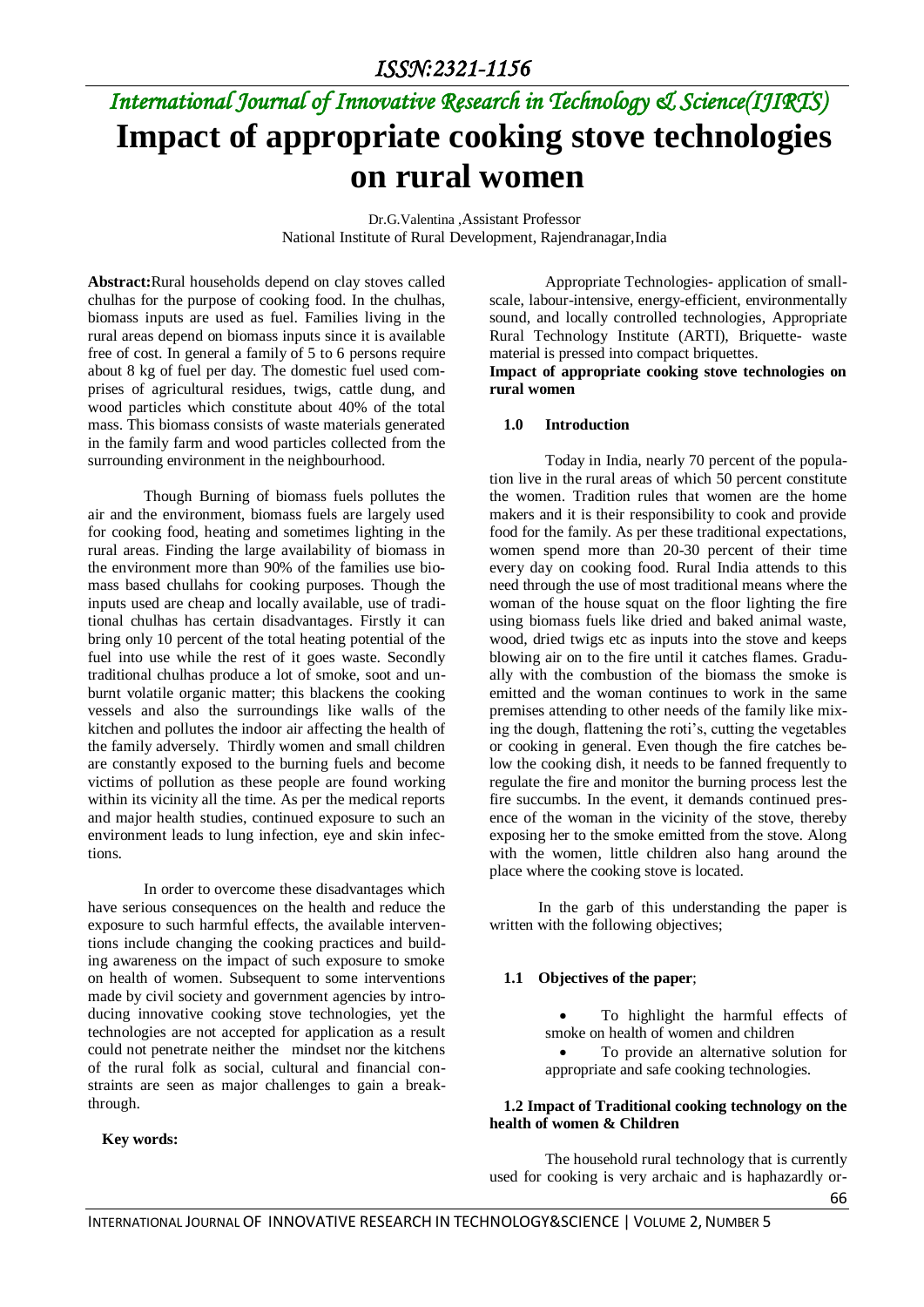# *International Journal of Innovative Research in Technology & Science(IJIRTS)* **Impact of appropriate cooking stove technologies on rural women**

Dr.G.Valentina ,Assistant Professor National Institute of Rural Development, Rajendranagar,India

**Abstract:**Rural households depend on clay stoves called chulhas for the purpose of cooking food. In the chulhas, biomass inputs are used as fuel. Families living in the rural areas depend on biomass inputs since it is available free of cost. In general a family of 5 to 6 persons require about 8 kg of fuel per day. The domestic fuel used comprises of agricultural residues, twigs, cattle dung, and wood particles which constitute about 40% of the total mass. This biomass consists of waste materials generated in the family farm and wood particles collected from the surrounding environment in the neighbourhood.

Though Burning of biomass fuels pollutes the air and the environment, biomass fuels are largely used for cooking food, heating and sometimes lighting in the rural areas. Finding the large availability of biomass in the environment more than 90% of the families use biomass based chullahs for cooking purposes. Though the inputs used are cheap and locally available, use of traditional chulhas has certain disadvantages. Firstly it can bring only 10 percent of the total heating potential of the fuel into use while the rest of it goes waste. Secondly traditional chulhas produce a lot of smoke, soot and unburnt volatile organic matter; this blackens the cooking vessels and also the surroundings like walls of the kitchen and pollutes the indoor air affecting the health of the family adversely. Thirdly women and small children are constantly exposed to the burning fuels and become victims of pollution as these people are found working within its vicinity all the time. As per the medical reports and major health studies, continued exposure to such an environment leads to lung infection, eye and skin infections.

In order to overcome these disadvantages which have serious consequences on the health and reduce the exposure to such harmful effects, the available interventions include changing the cooking practices and building awareness on the impact of such exposure to smoke on health of women. Subsequent to some interventions made by civil society and government agencies by introducing innovative cooking stove technologies, yet the technologies are not accepted for application as a result could not penetrate neither the mindset nor the kitchens of the rural folk as social, cultural and financial constraints are seen as major challenges to gain a breakthrough.

#### **Key words:**

Appropriate Technologies- application of smallscale, labour-intensive, energy-efficient, environmentally sound, and locally controlled technologies, Appropriate Rural Technology Institute (ARTI), Briquette- waste material is pressed into compact briquettes.

**Impact of appropriate cooking stove technologies on rural women**

#### **1.0 Introduction**

Today in India, nearly 70 percent of the population live in the rural areas of which 50 percent constitute the women. Tradition rules that women are the home makers and it is their responsibility to cook and provide food for the family. As per these traditional expectations, women spend more than 20-30 percent of their time every day on cooking food. Rural India attends to this need through the use of most traditional means where the woman of the house squat on the floor lighting the fire using biomass fuels like dried and baked animal waste, wood, dried twigs etc as inputs into the stove and keeps blowing air on to the fire until it catches flames. Gradually with the combustion of the biomass the smoke is emitted and the woman continues to work in the same premises attending to other needs of the family like mixing the dough, flattening the roti's, cutting the vegetables or cooking in general. Even though the fire catches below the cooking dish, it needs to be fanned frequently to regulate the fire and monitor the burning process lest the fire succumbs. In the event, it demands continued presence of the woman in the vicinity of the stove, thereby exposing her to the smoke emitted from the stove. Along with the women, little children also hang around the place where the cooking stove is located.

In the garb of this understanding the paper is written with the following objectives;

#### **1.1 Objectives of the paper**;

 To highlight the harmful effects of smoke on health of women and children

 To provide an alternative solution for appropriate and safe cooking technologies.

#### **1.2 Impact of Traditional cooking technology on the health of women & Children**

The household rural technology that is currently used for cooking is very archaic and is haphazardly or-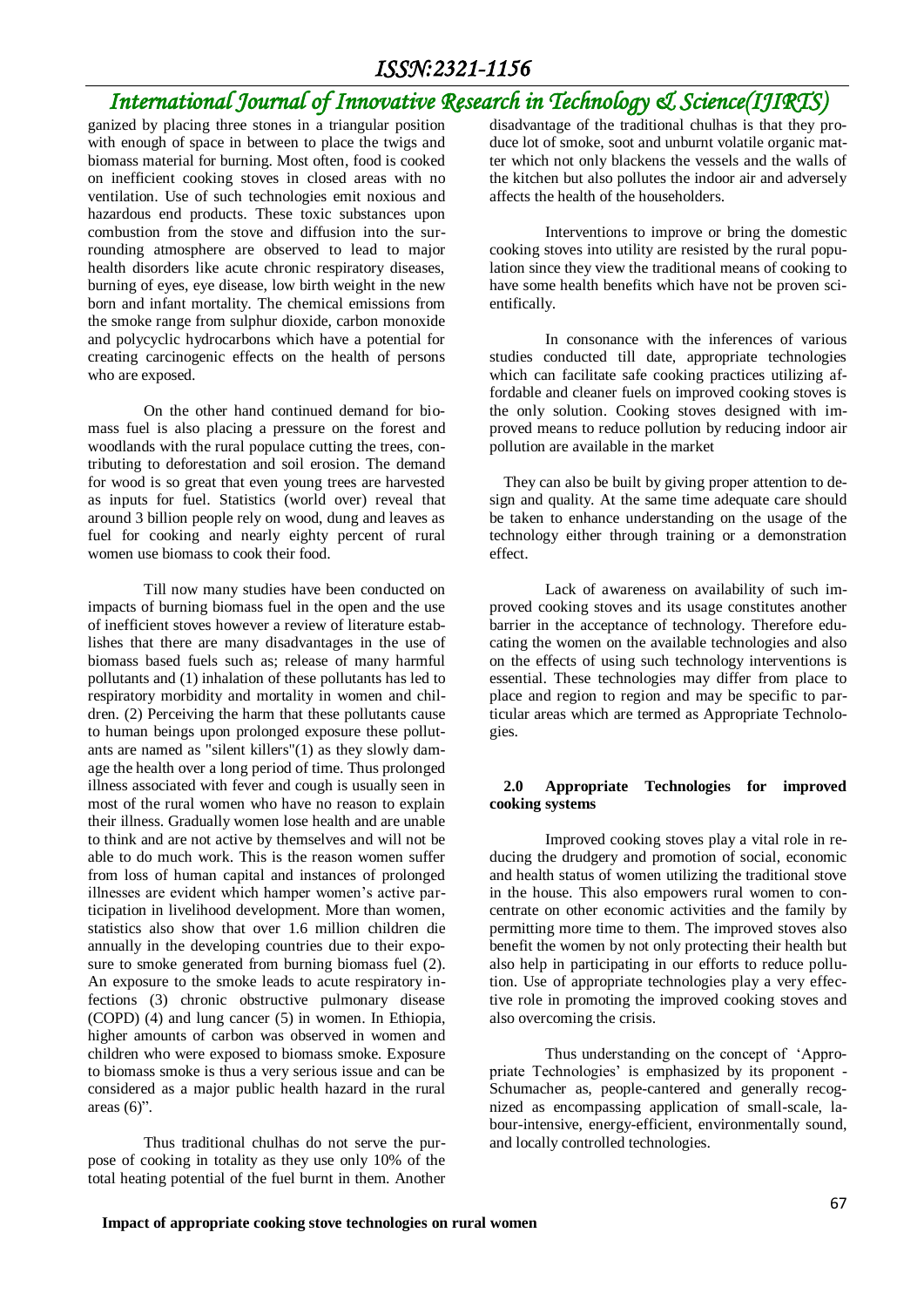## *International Journal of Innovative Research in Technology & Science(IJIRTS)*

ganized by placing three stones in a triangular position with enough of space in between to place the twigs and biomass material for burning. Most often, food is cooked on inefficient cooking stoves in closed areas with no ventilation. Use of such technologies emit noxious and hazardous end products. These toxic substances upon combustion from the stove and diffusion into the surrounding atmosphere are observed to lead to major health disorders like acute chronic respiratory diseases, burning of eyes, eye disease, low birth weight in the new born and infant mortality. The chemical emissions from the smoke range from sulphur dioxide, carbon monoxide and polycyclic hydrocarbons which have a potential for creating carcinogenic effects on the health of persons who are exposed.

On the other hand continued demand for biomass fuel is also placing a pressure on the forest and woodlands with the rural populace cutting the trees, contributing to deforestation and soil erosion. The demand for wood is so great that even young trees are harvested as inputs for fuel. Statistics (world over) reveal that around 3 billion people rely on wood, dung and leaves as fuel for cooking and nearly eighty percent of rural women use biomass to cook their food.

Till now many studies have been conducted on impacts of burning biomass fuel in the open and the use of inefficient stoves however a review of literature establishes that there are many disadvantages in the use of biomass based fuels such as; release of many harmful pollutants and (1) inhalation of these pollutants has led to respiratory morbidity and mortality in women and children. (2) Perceiving the harm that these pollutants cause to human beings upon prolonged exposure these pollutants are named as "silent killers"(1) as they slowly damage the health over a long period of time. Thus prolonged illness associated with fever and cough is usually seen in most of the rural women who have no reason to explain their illness. Gradually women lose health and are unable to think and are not active by themselves and will not be able to do much work. This is the reason women suffer from loss of human capital and instances of prolonged illnesses are evident which hamper women's active participation in livelihood development. More than women, statistics also show that over 1.6 million children die annually in the developing countries due to their exposure to smoke generated from burning biomass fuel (2). An exposure to the smoke leads to acute respiratory infections (3) chronic obstructive pulmonary disease (COPD) (4) and lung cancer (5) in women. In Ethiopia, higher amounts of carbon was observed in women and children who were exposed to biomass smoke. Exposure to biomass smoke is thus a very serious issue and can be considered as a major public health hazard in the rural areas  $(6)$ ".

Thus traditional chulhas do not serve the purpose of cooking in totality as they use only 10% of the total heating potential of the fuel burnt in them. Another

disadvantage of the traditional chulhas is that they produce lot of smoke, soot and unburnt volatile organic matter which not only blackens the vessels and the walls of the kitchen but also pollutes the indoor air and adversely affects the health of the householders.

Interventions to improve or bring the domestic cooking stoves into utility are resisted by the rural population since they view the traditional means of cooking to have some health benefits which have not be proven scientifically.

In consonance with the inferences of various studies conducted till date, appropriate technologies which can facilitate safe cooking practices utilizing affordable and cleaner fuels on improved cooking stoves is the only solution. Cooking stoves designed with improved means to reduce pollution by reducing indoor air pollution are available in the market

They can also be built by giving proper attention to design and quality. At the same time adequate care should be taken to enhance understanding on the usage of the technology either through training or a demonstration effect.

Lack of awareness on availability of such improved cooking stoves and its usage constitutes another barrier in the acceptance of technology. Therefore educating the women on the available technologies and also on the effects of using such technology interventions is essential. These technologies may differ from place to place and region to region and may be specific to particular areas which are termed as Appropriate Technologies.

### **2.0 Appropriate Technologies for improved cooking systems**

Improved cooking stoves play a vital role in reducing the drudgery and promotion of social, economic and health status of women utilizing the traditional stove in the house. This also empowers rural women to concentrate on other economic activities and the family by permitting more time to them. The improved stoves also benefit the women by not only protecting their health but also help in participating in our efforts to reduce pollution. Use of appropriate technologies play a very effective role in promoting the improved cooking stoves and also overcoming the crisis.

Thus understanding on the concept of 'Appropriate Technologies' is emphasized by its proponent - Schumacher as, people-cantered and generally recognized as encompassing application of small-scale, labour-intensive, energy-efficient, environmentally sound, and locally controlled technologies.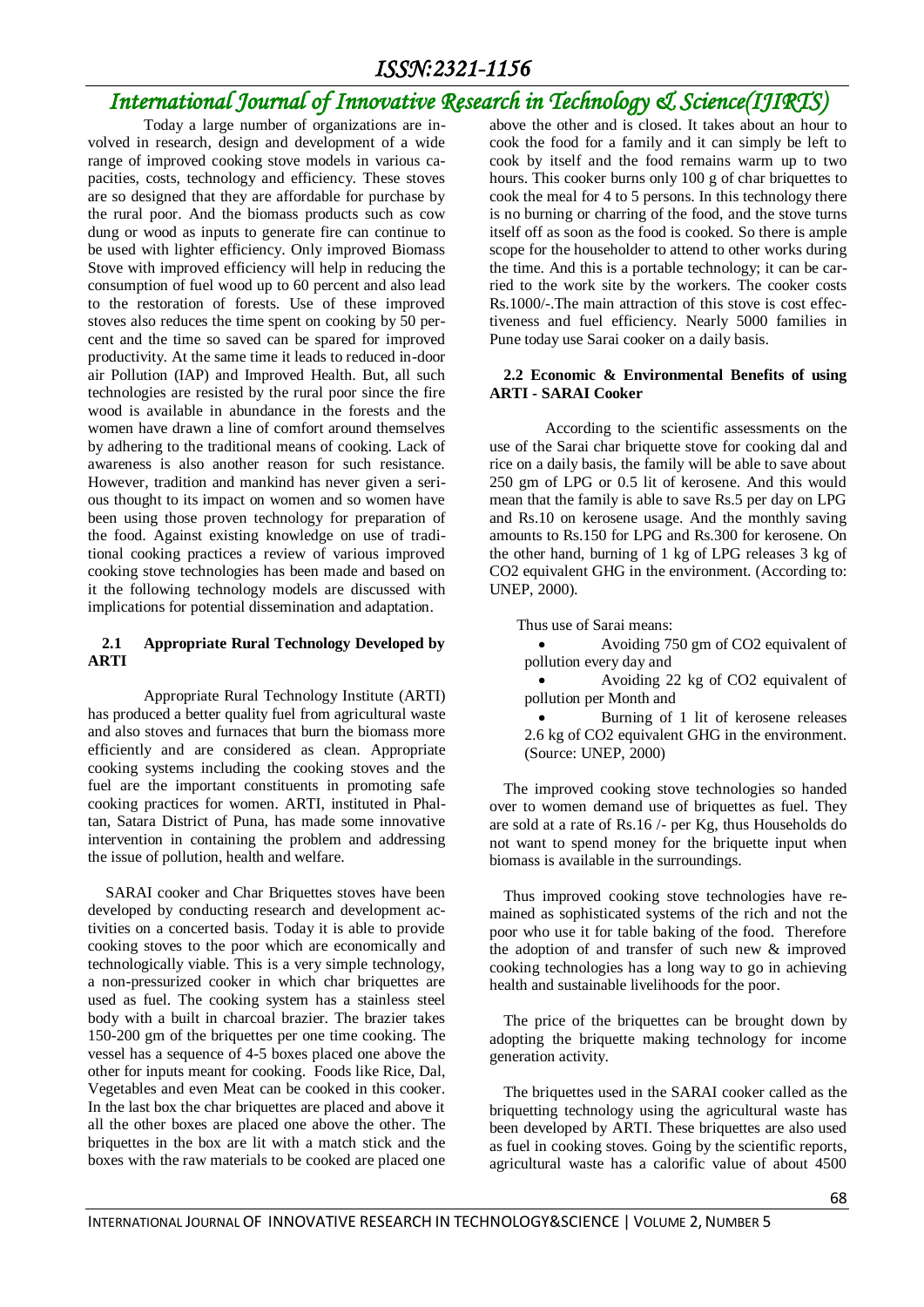## *International Journal of Innovative Research in Technology & Science(IJIRTS)*

Today a large number of organizations are involved in research, design and development of a wide range of improved cooking stove models in various capacities, costs, technology and efficiency. These stoves are so designed that they are affordable for purchase by the rural poor. And the biomass products such as cow dung or wood as inputs to generate fire can continue to be used with lighter efficiency. Only improved Biomass Stove with improved efficiency will help in reducing the consumption of fuel wood up to 60 percent and also lead to the restoration of forests. Use of these improved stoves also reduces the time spent on cooking by 50 percent and the time so saved can be spared for improved productivity. At the same time it leads to reduced in-door air Pollution (IAP) and Improved Health. But, all such technologies are resisted by the rural poor since the fire wood is available in abundance in the forests and the women have drawn a line of comfort around themselves by adhering to the traditional means of cooking. Lack of awareness is also another reason for such resistance. However, tradition and mankind has never given a serious thought to its impact on women and so women have been using those proven technology for preparation of the food. Against existing knowledge on use of traditional cooking practices a review of various improved cooking stove technologies has been made and based on it the following technology models are discussed with implications for potential dissemination and adaptation.

### **2.1 Appropriate Rural Technology Developed by ARTI**

Appropriate Rural Technology Institute (ARTI) has produced a better quality fuel from agricultural waste and also stoves and furnaces that burn the biomass more efficiently and are considered as clean. Appropriate cooking systems including the cooking stoves and the fuel are the important constituents in promoting safe cooking practices for women. ARTI, instituted in Phaltan, Satara District of Puna, has made some innovative intervention in containing the problem and addressing the issue of pollution, health and welfare.

SARAI cooker and Char Briquettes stoves have been developed by conducting research and development activities on a concerted basis. Today it is able to provide cooking stoves to the poor which are economically and technologically viable. This is a very simple technology, a non-pressurized cooker in which char briquettes are used as fuel. The cooking system has a stainless steel body with a built in charcoal brazier. The brazier takes 150-200 gm of the briquettes per one time cooking. The vessel has a sequence of 4-5 boxes placed one above the other for inputs meant for cooking. Foods like Rice, Dal, Vegetables and even Meat can be cooked in this cooker. In the last box the char briquettes are placed and above it all the other boxes are placed one above the other. The briquettes in the box are lit with a match stick and the boxes with the raw materials to be cooked are placed one

above the other and is closed. It takes about an hour to cook the food for a family and it can simply be left to cook by itself and the food remains warm up to two hours. This cooker burns only 100 g of char briquettes to cook the meal for 4 to 5 persons. In this technology there is no burning or charring of the food, and the stove turns itself off as soon as the food is cooked. So there is ample scope for the householder to attend to other works during the time. And this is a portable technology; it can be carried to the work site by the workers. The cooker costs Rs.1000/-.The main attraction of this stove is cost effectiveness and fuel efficiency. Nearly 5000 families in Pune today use Sarai cooker on a daily basis.

### **2.2 Economic & Environmental Benefits of using ARTI - SARAI Cooker**

According to the scientific assessments on the use of the Sarai char briquette stove for cooking dal and rice on a daily basis, the family will be able to save about 250 gm of LPG or 0.5 lit of kerosene. And this would mean that the family is able to save Rs.5 per day on LPG and Rs.10 on kerosene usage. And the monthly saving amounts to Rs.150 for LPG and Rs.300 for kerosene. On the other hand, burning of 1 kg of LPG releases 3 kg of CO2 equivalent GHG in the environment. (According to: UNEP, 2000).

Thus use of Sarai means:

- Avoiding 750 gm of CO2 equivalent of pollution every day and
- Avoiding 22 kg of CO2 equivalent of pollution per Month and
- Burning of 1 lit of kerosene releases 2.6 kg of CO2 equivalent GHG in the environment. (Source: UNEP, 2000)

The improved cooking stove technologies so handed over to women demand use of briquettes as fuel. They are sold at a rate of Rs.16 /- per Kg, thus Households do not want to spend money for the briquette input when biomass is available in the surroundings.

Thus improved cooking stove technologies have remained as sophisticated systems of the rich and not the poor who use it for table baking of the food. Therefore the adoption of and transfer of such new & improved cooking technologies has a long way to go in achieving health and sustainable livelihoods for the poor.

The price of the briquettes can be brought down by adopting the briquette making technology for income generation activity.

The briquettes used in the SARAI cooker called as the briquetting technology using the agricultural waste has been developed by ARTI. These briquettes are also used as fuel in cooking stoves. Going by the scientific reports, agricultural waste has a calorific value of about 4500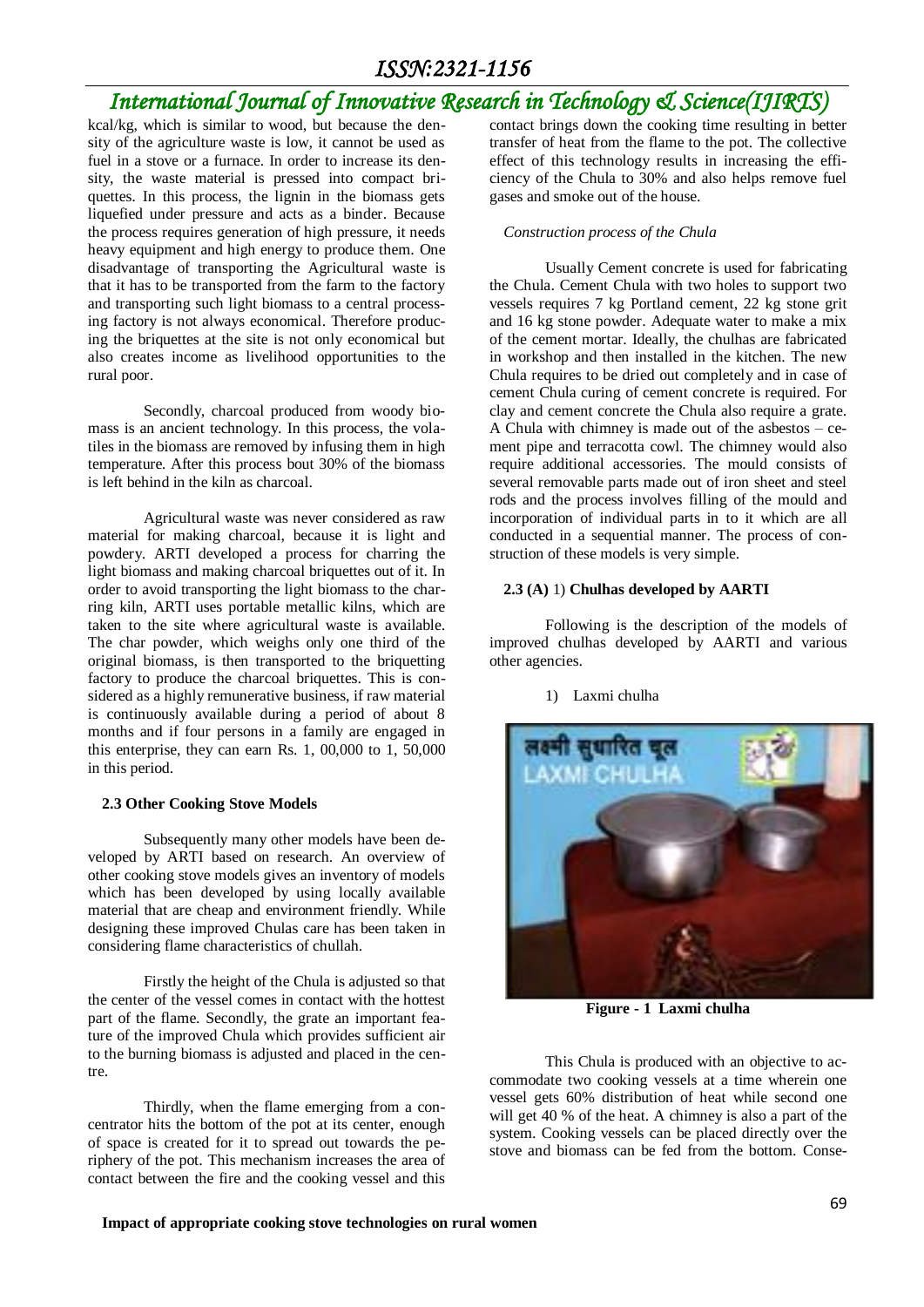## *International Journal of Innovative Research in Technology & Science(IJIRTS)*

kcal/kg, which is similar to wood, but because the density of the agriculture waste is low, it cannot be used as fuel in a stove or a furnace. In order to increase its density, the waste material is pressed into compact briquettes. In this process, the lignin in the biomass gets liquefied under pressure and acts as a binder. Because the process requires generation of high pressure, it needs heavy equipment and high energy to produce them. One disadvantage of transporting the Agricultural waste is that it has to be transported from the farm to the factory and transporting such light biomass to a central processing factory is not always economical. Therefore producing the briquettes at the site is not only economical but also creates income as livelihood opportunities to the rural poor.

Secondly, charcoal produced from woody biomass is an ancient technology. In this process, the volatiles in the biomass are removed by infusing them in high temperature. After this process bout 30% of the biomass is left behind in the kiln as charcoal.

Agricultural waste was never considered as raw material for making charcoal, because it is light and powdery. ARTI developed a process for charring the light biomass and making charcoal briquettes out of it. In order to avoid transporting the light biomass to the charring kiln, ARTI uses portable metallic kilns, which are taken to the site where agricultural waste is available. The char powder, which weighs only one third of the original biomass, is then transported to the briquetting factory to produce the charcoal briquettes. This is considered as a highly remunerative business, if raw material is continuously available during a period of about 8 months and if four persons in a family are engaged in this enterprise, they can earn Rs. 1, 00,000 to 1, 50,000 in this period.

#### **2.3 Other Cooking Stove Models**

Subsequently many other models have been developed by ARTI based on research. An overview of other cooking stove models gives an inventory of models which has been developed by using locally available material that are cheap and environment friendly. While designing these improved Chulas care has been taken in considering flame characteristics of chullah.

Firstly the height of the Chula is adjusted so that the center of the vessel comes in contact with the hottest part of the flame. Secondly, the grate an important feature of the improved Chula which provides sufficient air to the burning biomass is adjusted and placed in the centre.

Thirdly, when the flame emerging from a concentrator hits the bottom of the pot at its center, enough of space is created for it to spread out towards the periphery of the pot. This mechanism increases the area of contact between the fire and the cooking vessel and this

contact brings down the cooking time resulting in better transfer of heat from the flame to the pot. The collective effect of this technology results in increasing the efficiency of the Chula to 30% and also helps remove fuel gases and smoke out of the house.

#### *Construction process of the Chula*

Usually Cement concrete is used for fabricating the Chula. Cement Chula with two holes to support two vessels requires 7 kg Portland cement, 22 kg stone grit and 16 kg stone powder. Adequate water to make a mix of the cement mortar. Ideally, the chulhas are fabricated in workshop and then installed in the kitchen. The new Chula requires to be dried out completely and in case of cement Chula curing of cement concrete is required. For clay and cement concrete the Chula also require a grate. A Chula with chimney is made out of the asbestos – cement pipe and terracotta cowl. The chimney would also require additional accessories. The mould consists of several removable parts made out of iron sheet and steel rods and the process involves filling of the mould and incorporation of individual parts in to it which are all conducted in a sequential manner. The process of construction of these models is very simple.

### **2.3 (A)** 1) **Chulhas developed by AARTI**

1) Laxmi chulha

Following is the description of the models of improved chulhas developed by AARTI and various other agencies.



**Figure - 1 Laxmi chulha**

This Chula is produced with an objective to accommodate two cooking vessels at a time wherein one vessel gets 60% distribution of heat while second one will get 40 % of the heat. A chimney is also a part of the system. Cooking vessels can be placed directly over the stove and biomass can be fed from the bottom. Conse-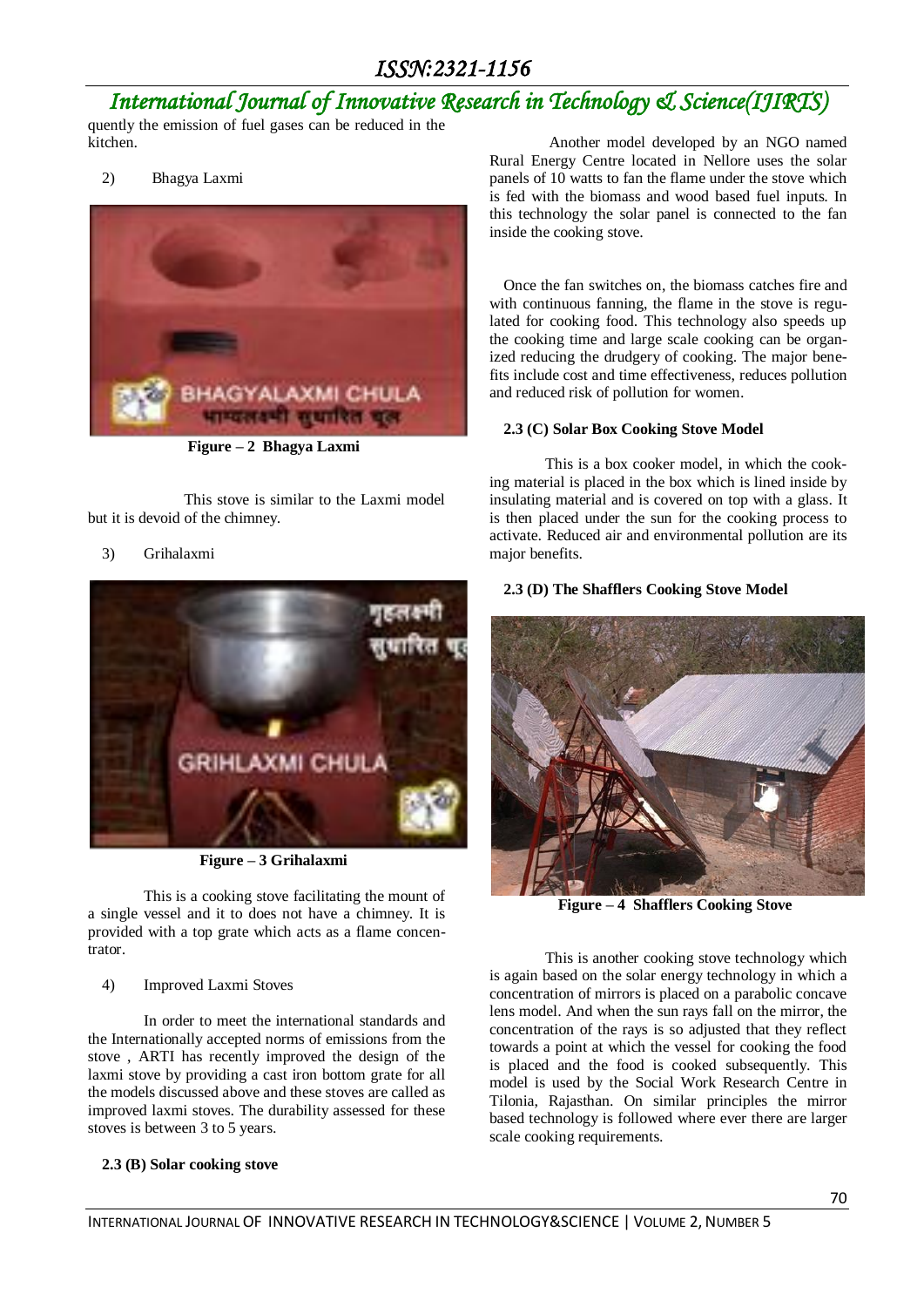## *International Journal of Innovative Research in Technology & Science(IJIRTS)*

quently the emission of fuel gases can be reduced in the kitchen.

2) Bhagya Laxmi



**Figure – 2 Bhagya Laxmi**

This stove is similar to the Laxmi model but it is devoid of the chimney.

### 3) Grihalaxmi



**Figure – 3 Grihalaxmi**

This is a cooking stove facilitating the mount of a single vessel and it to does not have a chimney. It is provided with a top grate which acts as a flame concentrator.

### 4) Improved Laxmi Stoves

In order to meet the international standards and the Internationally accepted norms of emissions from the stove , ARTI has recently improved the design of the laxmi stove by providing a cast iron bottom grate for all the models discussed above and these stoves are called as improved laxmi stoves. The durability assessed for these stoves is between 3 to 5 years.

### **2.3 (B) Solar cooking stove**

Another model developed by an NGO named Rural Energy Centre located in Nellore uses the solar panels of 10 watts to fan the flame under the stove which is fed with the biomass and wood based fuel inputs. In this technology the solar panel is connected to the fan inside the cooking stove.

Once the fan switches on, the biomass catches fire and with continuous fanning, the flame in the stove is regulated for cooking food. This technology also speeds up the cooking time and large scale cooking can be organized reducing the drudgery of cooking. The major benefits include cost and time effectiveness, reduces pollution and reduced risk of pollution for women.

### **2.3 (C) Solar Box Cooking Stove Model**

This is a box cooker model, in which the cooking material is placed in the box which is lined inside by insulating material and is covered on top with a glass. It is then placed under the sun for the cooking process to activate. Reduced air and environmental pollution are its major benefits.

### **2.3 (D) The Shafflers Cooking Stove Model**



**Figure – 4 Shafflers Cooking Stove**

This is another cooking stove technology which is again based on the solar energy technology in which a concentration of mirrors is placed on a parabolic concave lens model. And when the sun rays fall on the mirror, the concentration of the rays is so adjusted that they reflect towards a point at which the vessel for cooking the food is placed and the food is cooked subsequently. This model is used by the Social Work Research Centre in Tilonia, Rajasthan. On similar principles the mirror based technology is followed where ever there are larger scale cooking requirements.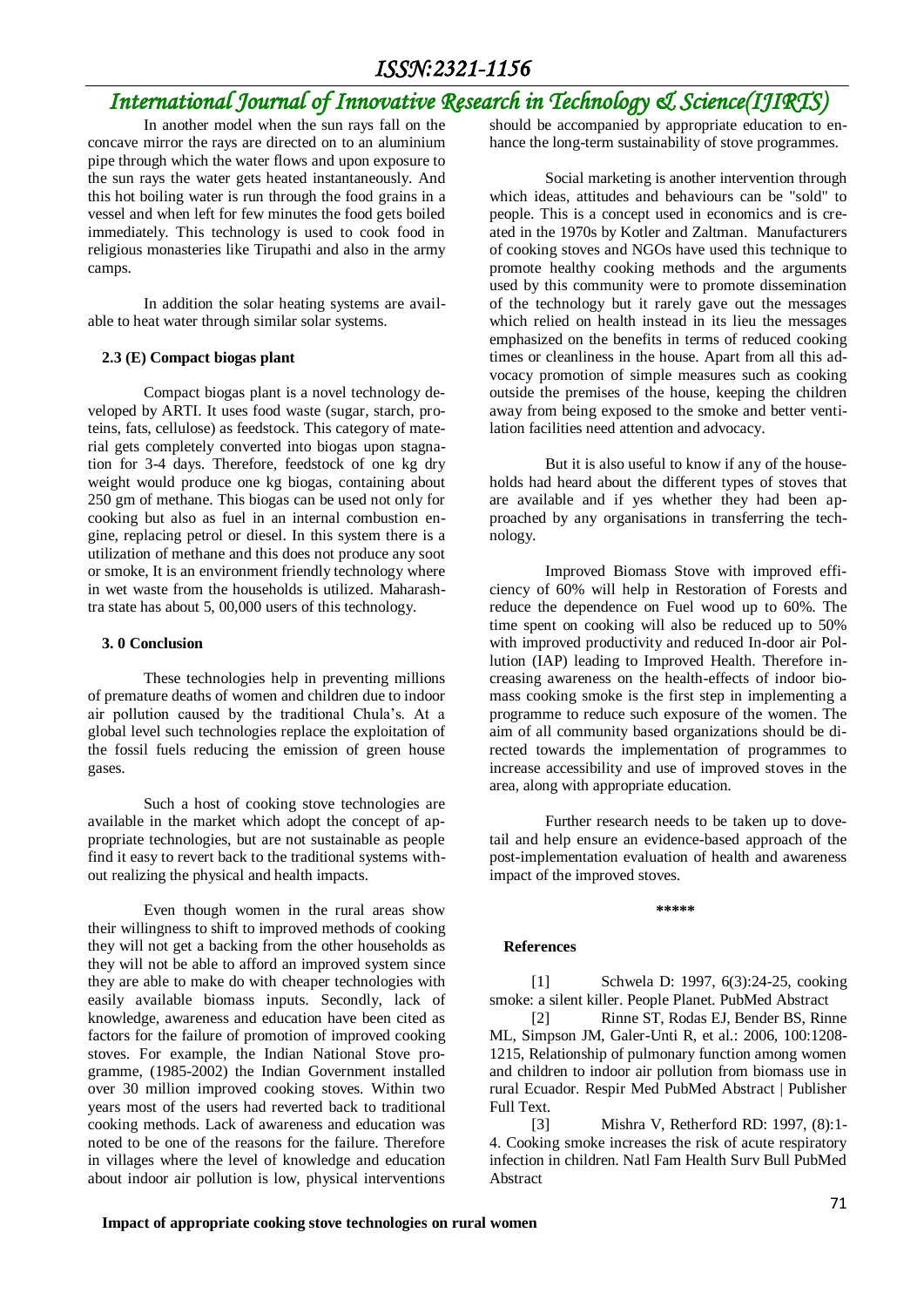## *International Journal of Innovative Research in Technology & Science(IJIRTS)*

In another model when the sun rays fall on the concave mirror the rays are directed on to an aluminium pipe through which the water flows and upon exposure to the sun rays the water gets heated instantaneously. And this hot boiling water is run through the food grains in a vessel and when left for few minutes the food gets boiled immediately. This technology is used to cook food in religious monasteries like Tirupathi and also in the army camps.

In addition the solar heating systems are available to heat water through similar solar systems.

### **2.3 (E) Compact biogas plant**

Compact biogas plant is a novel technology developed by ARTI. It uses food waste (sugar, starch, proteins, fats, cellulose) as feedstock. This category of material gets completely converted into biogas upon stagnation for 3-4 days. Therefore, feedstock of one kg dry weight would produce one kg biogas, containing about 250 gm of methane. This biogas can be used not only for cooking but also as fuel in an internal combustion engine, replacing petrol or diesel. In this system there is a utilization of methane and this does not produce any soot or smoke, It is an environment friendly technology where in wet waste from the households is utilized. Maharashtra state has about 5, 00,000 users of this technology.

#### **3. 0 Conclusion**

These technologies help in preventing millions of premature deaths of women and children due to indoor air pollution caused by the traditional Chula's. At a global level such technologies replace the exploitation of the fossil fuels reducing the emission of green house gases.

Such a host of cooking stove technologies are available in the market which adopt the concept of appropriate technologies, but are not sustainable as people find it easy to revert back to the traditional systems without realizing the physical and health impacts.

Even though women in the rural areas show their willingness to shift to improved methods of cooking they will not get a backing from the other households as they will not be able to afford an improved system since they are able to make do with cheaper technologies with easily available biomass inputs. Secondly, lack of knowledge, awareness and education have been cited as factors for the failure of promotion of improved cooking stoves. For example, the Indian National Stove programme, (1985-2002) the Indian Government installed over 30 million improved cooking stoves. Within two years most of the users had reverted back to traditional cooking methods. Lack of awareness and education was noted to be one of the reasons for the failure. Therefore in villages where the level of knowledge and education about indoor air pollution is low, physical interventions

should be accompanied by appropriate education to enhance the long-term sustainability of stove programmes.

Social marketing is another intervention through which ideas, attitudes and behaviours can be "sold" to people. This is a concept used in economics and is created in the 1970s by Kotler and Zaltman. Manufacturers of cooking stoves and NGOs have used this technique to promote healthy cooking methods and the arguments used by this community were to promote dissemination of the technology but it rarely gave out the messages which relied on health instead in its lieu the messages emphasized on the benefits in terms of reduced cooking times or cleanliness in the house. Apart from all this advocacy promotion of simple measures such as cooking outside the premises of the house, keeping the children away from being exposed to the smoke and better ventilation facilities need attention and advocacy.

But it is also useful to know if any of the households had heard about the different types of stoves that are available and if yes whether they had been approached by any organisations in transferring the technology.

Improved Biomass Stove with improved efficiency of 60% will help in Restoration of Forests and reduce the dependence on Fuel wood up to 60%. The time spent on cooking will also be reduced up to 50% with improved productivity and reduced In-door air Pollution (IAP) leading to Improved Health. Therefore increasing awareness on the health-effects of indoor biomass cooking smoke is the first step in implementing a programme to reduce such exposure of the women. The aim of all community based organizations should be directed towards the implementation of programmes to increase accessibility and use of improved stoves in the area, along with appropriate education.

Further research needs to be taken up to dovetail and help ensure an evidence-based approach of the post-implementation evaluation of health and awareness impact of the improved stoves.

**\*\*\*\*\***

#### **References**

[1] Schwela D: 1997, 6(3):24-25, cooking smoke: a silent killer. People Planet. PubMed Abstract

[2] Rinne ST, Rodas EJ, Bender BS, Rinne ML, Simpson JM, Galer-Unti R, et al.: 2006, 100:1208- 1215, Relationship of pulmonary function among women and children to indoor air pollution from biomass use in rural Ecuador. Respir Med PubMed Abstract | Publisher Full Text.

[3] Mishra V, Retherford RD: 1997, (8):1- 4. Cooking smoke increases the risk of acute respiratory infection in children. Natl Fam Health Surv Bull PubMed Abstract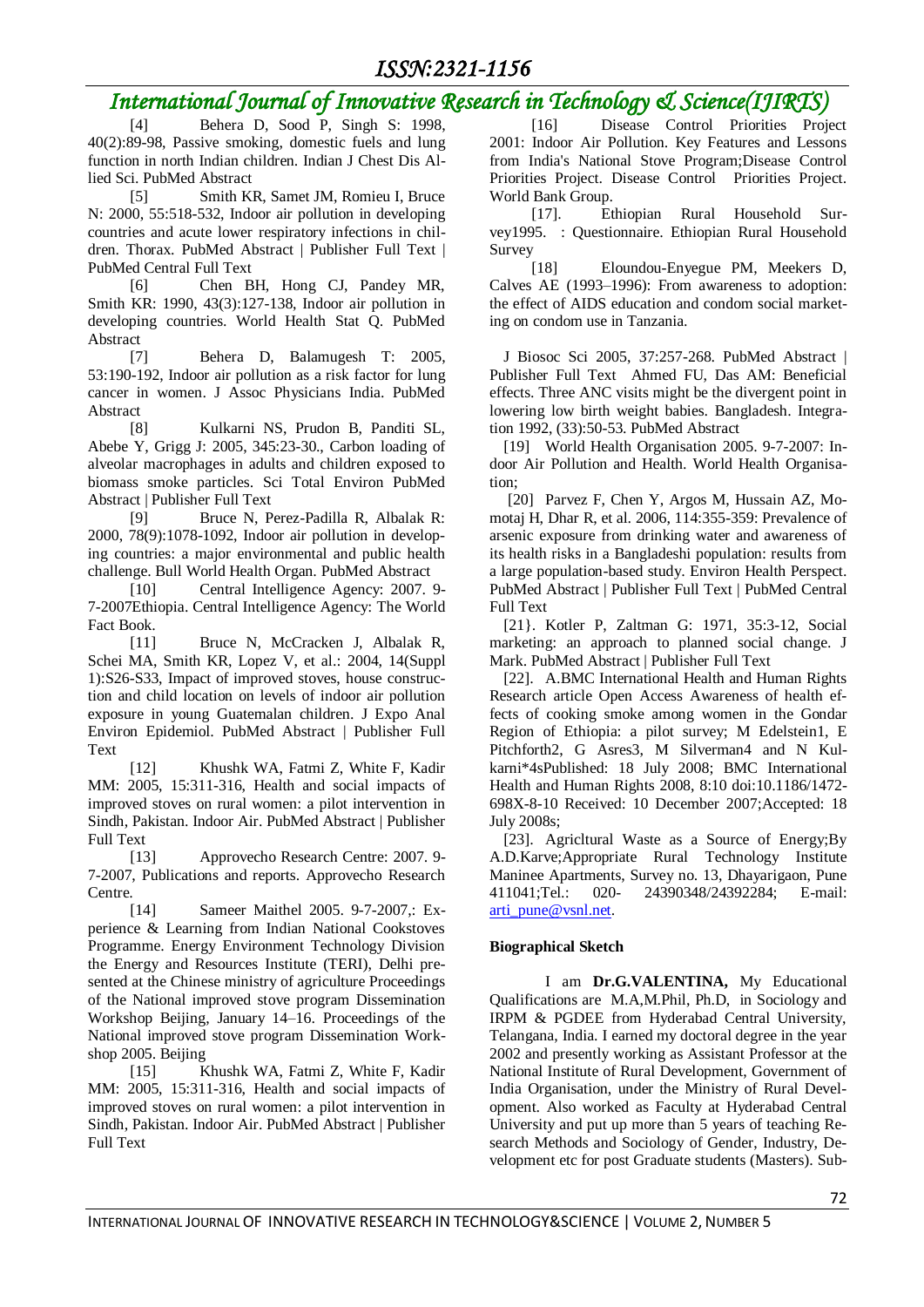## *International Journal of Innovative Research in Technology & Science(IJIRTS)*

Behera D, Sood P, Singh S: 1998, 40(2):89-98, Passive smoking, domestic fuels and lung function in north Indian children. Indian J Chest Dis Allied Sci. PubMed Abstract

[5] Smith KR, Samet JM, Romieu I, Bruce N: 2000, 55:518-532, Indoor air pollution in developing countries and acute lower respiratory infections in children. Thorax. PubMed Abstract | Publisher Full Text | PubMed Central Full Text

[6] Chen BH, Hong CJ, Pandey MR, Smith KR: 1990, 43(3):127-138, Indoor air pollution in developing countries. World Health Stat Q. PubMed Abstract

[7] Behera D, Balamugesh T: 2005, 53:190-192, Indoor air pollution as a risk factor for lung cancer in women. J Assoc Physicians India. PubMed Abstract

[8] Kulkarni NS, Prudon B, Panditi SL, Abebe Y, Grigg J: 2005, 345:23-30., Carbon loading of alveolar macrophages in adults and children exposed to biomass smoke particles. Sci Total Environ PubMed Abstract | Publisher Full Text

[9] Bruce N, Perez-Padilla R, Albalak R: 2000, 78(9):1078-1092, Indoor air pollution in developing countries: a major environmental and public health challenge. Bull World Health Organ. PubMed Abstract

[10] Central Intelligence Agency: 2007. 9- 7-2007Ethiopia. Central Intelligence Agency: The World Fact Book.

[11] Bruce N, McCracken J, Albalak R, Schei MA, Smith KR, Lopez V, et al.: 2004, 14(Suppl 1):S26-S33, Impact of improved stoves, house construction and child location on levels of indoor air pollution exposure in young Guatemalan children. J Expo Anal Environ Epidemiol. PubMed Abstract | Publisher Full Text

[12] Khushk WA, Fatmi Z, White F, Kadir MM: 2005, 15:311-316, Health and social impacts of improved stoves on rural women: a pilot intervention in Sindh, Pakistan. Indoor Air. PubMed Abstract | Publisher Full Text

[13] Approvecho Research Centre: 2007. 9- 7-2007, Publications and reports. Approvecho Research Centre.

[14] Sameer Maithel 2005. 9-7-2007,: Experience & Learning from Indian National Cookstoves Programme. Energy Environment Technology Division the Energy and Resources Institute (TERI), Delhi presented at the Chinese ministry of agriculture Proceedings of the National improved stove program Dissemination Workshop Beijing, January 14–16. Proceedings of the National improved stove program Dissemination Workshop 2005. Beijing

[15] Khushk WA, Fatmi Z, White F, Kadir MM: 2005, 15:311-316, Health and social impacts of improved stoves on rural women: a pilot intervention in Sindh, Pakistan. Indoor Air. PubMed Abstract | Publisher Full Text

[16] Disease Control Priorities Project 2001: Indoor Air Pollution. Key Features and Lessons from India's National Stove Program;Disease Control Priorities Project. Disease Control Priorities Project. World Bank Group.

[17]. Ethiopian Rural Household Survey1995. : Questionnaire. Ethiopian Rural Household Survey

[18] Eloundou-Enyegue PM, Meekers D, Calves AE (1993–1996): From awareness to adoption: the effect of AIDS education and condom social marketing on condom use in Tanzania.

J Biosoc Sci 2005, 37:257-268. PubMed Abstract | Publisher Full Text Ahmed FU, Das AM: Beneficial effects. Three ANC visits might be the divergent point in lowering low birth weight babies. Bangladesh. Integration 1992, (33):50-53. PubMed Abstract

[19] World Health Organisation 2005. 9-7-2007: Indoor Air Pollution and Health. World Health Organisation;

[20] Parvez F, Chen Y, Argos M, Hussain AZ, Momotaj H, Dhar R, et al. 2006, 114:355-359: Prevalence of arsenic exposure from drinking water and awareness of its health risks in a Bangladeshi population: results from a large population-based study. Environ Health Perspect. PubMed Abstract | Publisher Full Text | PubMed Central Full Text

[21}. Kotler P, Zaltman G: 1971, 35:3-12, Social marketing: an approach to planned social change. J Mark. PubMed Abstract | Publisher Full Text

[22]. A.BMC International Health and Human Rights Research article Open Access Awareness of health effects of cooking smoke among women in the Gondar Region of Ethiopia: a pilot survey; M Edelstein1, E Pitchforth2, G Asres3, M Silverman4 and N Kulkarni\*4sPublished: 18 July 2008; BMC International Health and Human Rights 2008, 8:10 doi:10.1186/1472- 698X-8-10 Received: 10 December 2007;Accepted: 18 July 2008s;

[23]. Agricltural Waste as a Source of Energy;By A.D.Karve;Appropriate Rural Technology Institute Maninee Apartments, Survey no. 13, Dhayarigaon, Pune 411041;Tel.: 020- 24390348/24392284; E-mail: [arti\\_pune@vsnl.net.](mailto:arti_pune@vsnl.net)

### **Biographical Sketch**

I am **Dr.G.VALENTINA,** My Educational Qualifications are M.A,M.Phil, Ph.D, in Sociology and IRPM & PGDEE from Hyderabad Central University, Telangana, India. I earned my doctoral degree in the year 2002 and presently working as Assistant Professor at the National Institute of Rural Development, Government of India Organisation, under the Ministry of Rural Development. Also worked as Faculty at Hyderabad Central University and put up more than 5 years of teaching Research Methods and Sociology of Gender, Industry, Development etc for post Graduate students (Masters). Sub-